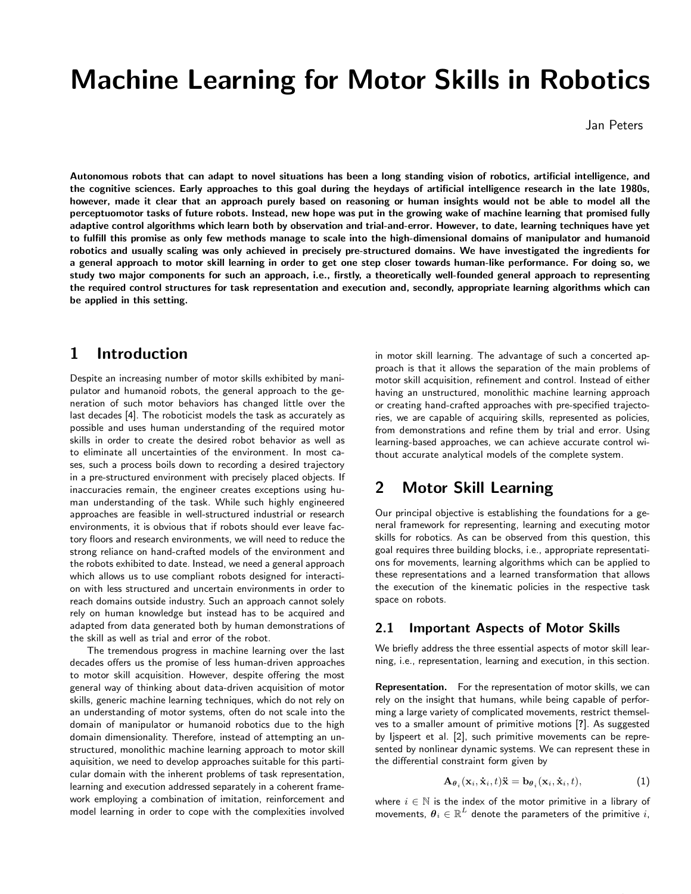# Machine Learning for Motor Skills in Robotics

Jan Peters

Autonomous robots that can adapt to novel situations has been a long standing vision of robotics, artificial intelligence, and the cognitive sciences. Early approaches to this goal during the heydays of artificial intelligence research in the late 1980s, however, made it clear that an approach purely based on reasoning or human insights would not be able to model all the perceptuomotor tasks of future robots. Instead, new hope was put in the growing wake of machine learning that promised fully adaptive control algorithms which learn both by observation and trial-and-error. However, to date, learning techniques have yet to fulfill this promise as only few methods manage to scale into the high-dimensional domains of manipulator and humanoid robotics and usually scaling was only achieved in precisely pre-structured domains. We have investigated the ingredients for a general approach to motor skill learning in order to get one step closer towards human-like performance. For doing so, we study two major components for such an approach, i.e., firstly, a theoretically well-founded general approach to representing the required control structures for task representation and execution and, secondly, appropriate learning algorithms which can be applied in this setting.

## 1 Introduction

Despite an increasing number of motor skills exhibited by manipulator and humanoid robots, the general approach to the generation of such motor behaviors has changed little over the last decades [4]. The roboticist models the task as accurately as possible and uses human understanding of the required motor skills in order to create the desired robot behavior as well as to eliminate all uncertainties of the environment. In most cases, such a process boils down to recording a desired trajectory in a pre-structured environment with precisely placed objects. If inaccuracies remain, the engineer creates exceptions using human understanding of the task. While such highly engineered approaches are feasible in well-structured industrial or research environments, it is obvious that if robots should ever leave factory floors and research environments, we will need to reduce the strong reliance on hand-crafted models of the environment and the robots exhibited to date. Instead, we need a general approach which allows us to use compliant robots designed for interaction with less structured and uncertain environments in order to reach domains outside industry. Such an approach cannot solely rely on human knowledge but instead has to be acquired and adapted from data generated both by human demonstrations of the skill as well as trial and error of the robot.

The tremendous progress in machine learning over the last decades offers us the promise of less human-driven approaches to motor skill acquisition. However, despite offering the most general way of thinking about data-driven acquisition of motor skills, generic machine learning techniques, which do not rely on an understanding of motor systems, often do not scale into the domain of manipulator or humanoid robotics due to the high domain dimensionality. Therefore, instead of attempting an unstructured, monolithic machine learning approach to motor skill aquisition, we need to develop approaches suitable for this particular domain with the inherent problems of task representation, learning and execution addressed separately in a coherent framework employing a combination of imitation, reinforcement and model learning in order to cope with the complexities involved in motor skill learning. The advantage of such a concerted approach is that it allows the separation of the main problems of motor skill acquisition, refinement and control. Instead of either having an unstructured, monolithic machine learning approach or creating hand-crafted approaches with pre-specified trajectories, we are capable of acquiring skills, represented as policies, from demonstrations and refine them by trial and error. Using learning-based approaches, we can achieve accurate control without accurate analytical models of the complete system.

## 2 Motor Skill Learning

Our principal objective is establishing the foundations for a general framework for representing, learning and executing motor skills for robotics. As can be observed from this question, this goal requires three building blocks, i.e., appropriate representations for movements, learning algorithms which can be applied to these representations and a learned transformation that allows the execution of the kinematic policies in the respective task space on robots.

#### 2.1 Important Aspects of Motor Skills

We briefly address the three essential aspects of motor skill learning, i.e., representation, learning and execution, in this section.

Representation. For the representation of motor skills, we can rely on the insight that humans, while being capable of performing a large variety of complicated movements, restrict themselves to a smaller amount of primitive motions [?]. As suggested by Ijspeert et al. [2], such primitive movements can be represented by nonlinear dynamic systems. We can represent these in the differential constraint form given by

$$
\mathbf{A}_{\boldsymbol{\theta}_i}(\mathbf{x}_i, \mathbf{\dot{x}}_i, t)\ddot{\mathbf{x}} = \mathbf{b}_{\boldsymbol{\theta}_i}(\mathbf{x}_i, \mathbf{\dot{x}}_i, t),
$$
(1)

where  $i \in \mathbb{N}$  is the index of the motor primitive in a library of movements,  $\theta_i \in \mathbb{R}^L$  denote the parameters of the primitive  $i$ ,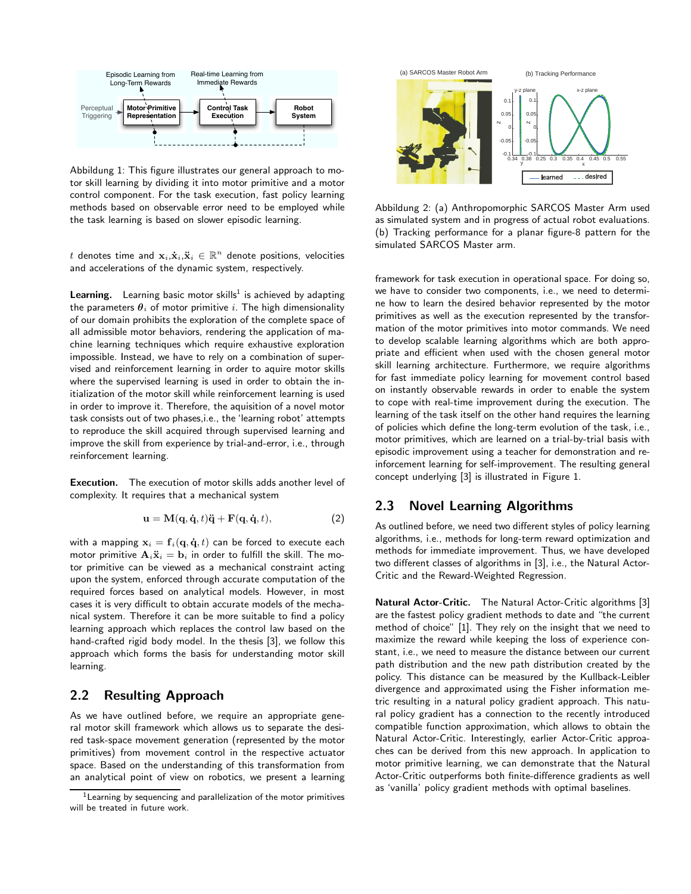

Abbildung 1: This figure illustrates our general approach to motor skill learning by dividing it into motor primitive and a motor control component. For the task execution, fast policy learning methods based on observable error need to be employed while the task learning is based on slower episodic learning.

 $t$  denotes time and  $\mathbf{x}_i.\mathbf{\dot{x}}_i.\mathbf{\ddot{x}}_i \in \mathbb{R}^n$  denote positions, velocities and accelerations of the dynamic system, respectively.

**Learning.** Learning basic motor skills $^1$  is achieved by adapting the parameters  $\theta_i$  of motor primitive i. The high dimensionality of our domain prohibits the exploration of the complete space of all admissible motor behaviors, rendering the application of machine learning techniques which require exhaustive exploration impossible. Instead, we have to rely on a combination of supervised and reinforcement learning in order to aquire motor skills where the supervised learning is used in order to obtain the initialization of the motor skill while reinforcement learning is used in order to improve it. Therefore, the aquisition of a novel motor task consists out of two phases,i.e., the 'learning robot' attempts to reproduce the skill acquired through supervised learning and improve the skill from experience by trial-and-error, i.e., through reinforcement learning.

Execution. The execution of motor skills adds another level of complexity. It requires that a mechanical system

$$
\mathbf{u} = \mathbf{M}(\mathbf{q}, \dot{\mathbf{q}}, t)\ddot{\mathbf{q}} + \mathbf{F}(\mathbf{q}, \dot{\mathbf{q}}, t),
$$
 (2)

with a mapping  $x_i = f_i(q, \dot{q}, t)$  can be forced to execute each motor primitive  $\mathbf{A}_i \ddot{\mathbf{x}}_i = \mathbf{b}_i$  in order to fulfill the skill. The motor primitive can be viewed as a mechanical constraint acting upon the system, enforced through accurate computation of the required forces based on analytical models. However, in most cases it is very difficult to obtain accurate models of the mechanical system. Therefore it can be more suitable to find a policy learning approach which replaces the control law based on the hand-crafted rigid body model. In the thesis [3], we follow this approach which forms the basis for understanding motor skill learning.

## 2.2 Resulting Approach

As we have outlined before, we require an appropriate general motor skill framework which allows us to separate the desired task-space movement generation (represented by the motor primitives) from movement control in the respective actuator space. Based on the understanding of this transformation from an analytical point of view on robotics, we present a learning



Abbildung 2: (a) Anthropomorphic SARCOS Master Arm used as simulated system and in progress of actual robot evaluations. (b) Tracking performance for a planar figure-8 pattern for the simulated SARCOS Master arm.

framework for task execution in operational space. For doing so, we have to consider two components, i.e., we need to determine how to learn the desired behavior represented by the motor primitives as well as the execution represented by the transformation of the motor primitives into motor commands. We need to develop scalable learning algorithms which are both appropriate and efficient when used with the chosen general motor skill learning architecture. Furthermore, we require algorithms for fast immediate policy learning for movement control based on instantly observable rewards in order to enable the system to cope with real-time improvement during the execution. The learning of the task itself on the other hand requires the learning of policies which define the long-term evolution of the task, i.e., motor primitives, which are learned on a trial-by-trial basis with episodic improvement using a teacher for demonstration and reinforcement learning for self-improvement. The resulting general concept underlying [3] is illustrated in Figure 1.

#### 2.3 Novel Learning Algorithms

As outlined before, we need two different styles of policy learning algorithms, i.e., methods for long-term reward optimization and methods for immediate improvement. Thus, we have developed two different classes of algorithms in [3], i.e., the Natural Actor-Critic and the Reward-Weighted Regression.

Natural Actor-Critic. The Natural Actor-Critic algorithms [3] are the fastest policy gradient methods to date and "the current method of choice" [1]. They rely on the insight that we need to maximize the reward while keeping the loss of experience constant, i.e., we need to measure the distance between our current path distribution and the new path distribution created by the policy. This distance can be measured by the Kullback-Leibler divergence and approximated using the Fisher information metric resulting in a natural policy gradient approach. This natural policy gradient has a connection to the recently introduced compatible function approximation, which allows to obtain the Natural Actor-Critic. Interestingly, earlier Actor-Critic approaches can be derived from this new approach. In application to motor primitive learning, we can demonstrate that the Natural Actor-Critic outperforms both finite-difference gradients as well as 'vanilla' policy gradient methods with optimal baselines.

 $1$  Learning by sequencing and parallelization of the motor primitives will be treated in future work.